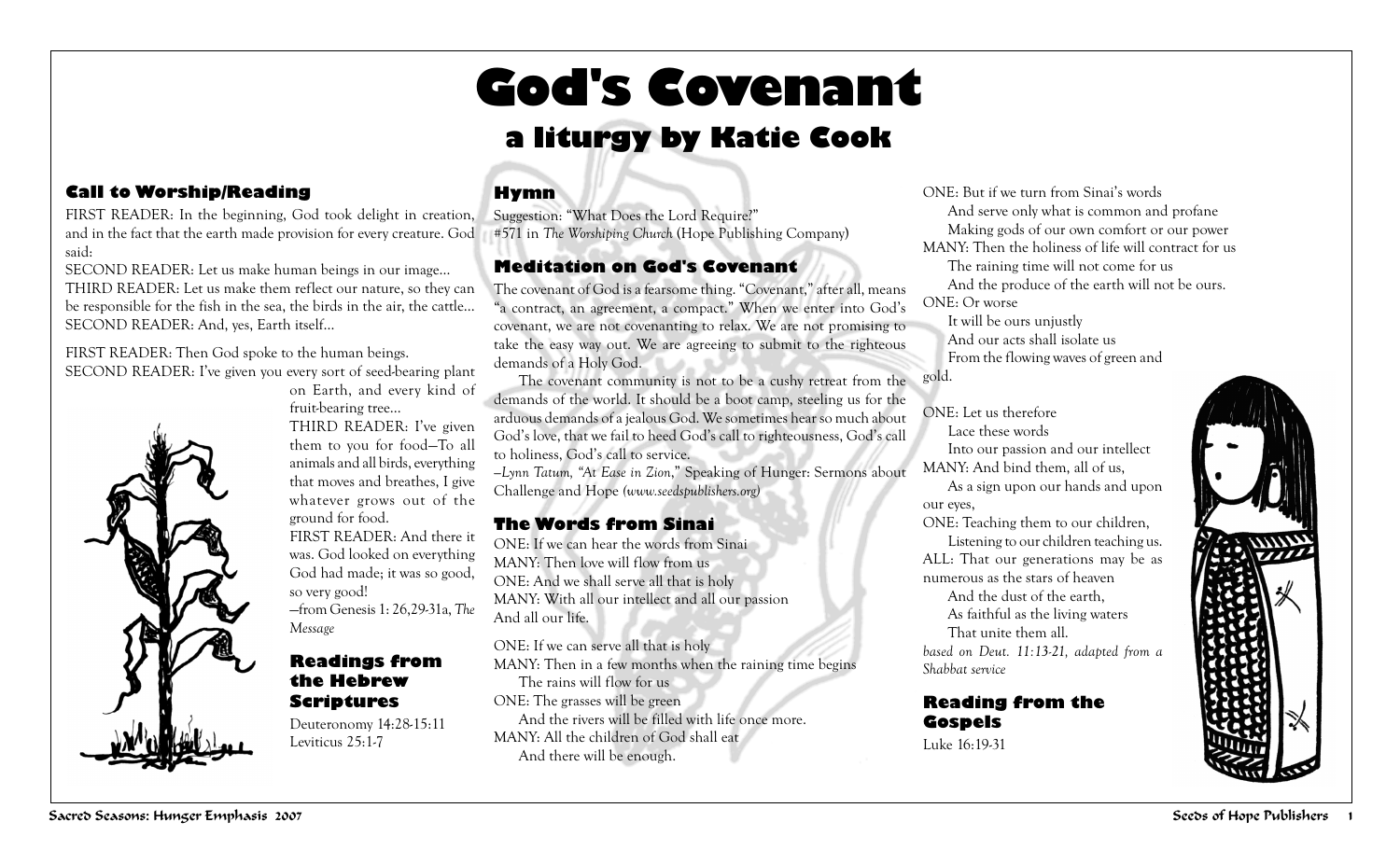# **God's Covenant**

### **a liturgy by Katie Cook**

#### **Call to Worship/Reading**

FIRST READER: In the beginning, God took delight in creation, Suggestion: "What Does the Lord Require?" and in the fact that the earth made provision for every creature. God said:

SECOND READER: Let us make human beings in our image… THIRD READER: Let us make them reflect our nature, so they can be responsible for the fish in the sea, the birds in the air, the cattle… SECOND READER: And, yes, Earth itself…

FIRST READER: Then God spoke to the human beings. SECOND READER: I've given you every sort of seed-bearing plant



on Earth, and every kind of fruit-bearing tree… THIRD READER: I've given them to you for food—To all animals and all birds, everything that moves and breathes, I give whatever grows out of the ground for food. FIRST READER: And there it was. God looked on everything God had made; it was so good, so very good! —from Genesis 1: 26,29-31a, *The Message*

#### **Readings from the Hebrew Scriptures**

Deuteronomy 14:28-15:11 Leviticus 25:1-7

#### **Hymn**

#571 in *The Worshiping Church* (Hope Publishing Company)

#### **Meditation on God's Covenant**

The covenant of God is a fearsome thing. "Covenant," after all, means "a contract, an agreement, a compact." When we enter into God's covenant, we are not covenanting to relax. We are not promising to take the easy way out. We are agreeing to submit to the righteous demands of a Holy God.

The covenant community is not to be a cushy retreat from the demands of the world. It should be a boot camp, steeling us for the arduous demands of a jealous God. We sometimes hear so much about God's love, that we fail to heed God's call to righteousness, God's call to holiness, God's call to service.

*—Lynn Tatum, "At Ease in Zion*," Speaking of Hunger: Sermons about Challenge and Hope *(www.seedspublishers.org)*

#### **The Words from Sinai**

ONE: If we can hear the words from Sinai MANY: Then love will flow from us ONE: And we shall serve all that is holy MANY: With all our intellect and all our passion And all our life.

ONE: If we can serve all that is holy MANY: Then in a few months when the raining time begins The rains will flow for us ONE: The grasses will be green And the rivers will be filled with life once more. MANY: All the children of God shall eat And there will be enough.

ONE: But if we turn from Sinai's words And serve only what is common and profane Making gods of our own comfort or our power MANY: Then the holiness of life will contract for us The raining time will not come for us And the produce of the earth will not be ours. ONE: Or worse It will be ours unjustly

And our acts shall isolate us From the flowing waves of green and

gold.

ONE: Let us therefore Lace these words Into our passion and our intellect MANY: And bind them, all of us, As a sign upon our hands and upon our eyes, ONE: Teaching them to our children, Listening to our children teaching us. ALL: That our generations may be as numerous as the stars of heaven And the dust of the earth, As faithful as the living waters That unite them all. *based on Deut. 11:13-21, adapted from a Shabbat service*

**Reading from the Gospels** Luke 16:19-31